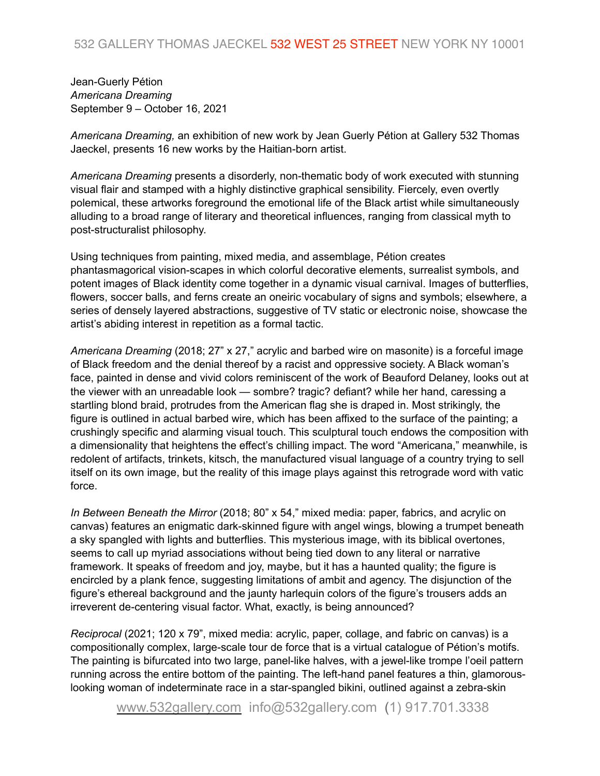Jean-Guerly Pétion *Americana Dreaming*  September 9 – October 16, 2021

*Americana Dreaming,* an exhibition of new work by Jean Guerly Pétion at Gallery 532 Thomas Jaeckel, presents 16 new works by the Haitian-born artist.

*Americana Dreaming* presents a disorderly, non-thematic body of work executed with stunning visual flair and stamped with a highly distinctive graphical sensibility. Fiercely, even overtly polemical, these artworks foreground the emotional life of the Black artist while simultaneously alluding to a broad range of literary and theoretical influences, ranging from classical myth to post-structuralist philosophy.

Using techniques from painting, mixed media, and assemblage, Pétion creates phantasmagorical vision-scapes in which colorful decorative elements, surrealist symbols, and potent images of Black identity come together in a dynamic visual carnival. Images of butterflies, flowers, soccer balls, and ferns create an oneiric vocabulary of signs and symbols; elsewhere, a series of densely layered abstractions, suggestive of TV static or electronic noise, showcase the artist's abiding interest in repetition as a formal tactic.

*Americana Dreaming* (2018; 27" x 27," acrylic and barbed wire on masonite) is a forceful image of Black freedom and the denial thereof by a racist and oppressive society. A Black woman's face, painted in dense and vivid colors reminiscent of the work of Beauford Delaney, looks out at the viewer with an unreadable look — sombre? tragic? defiant? while her hand, caressing a startling blond braid, protrudes from the American flag she is draped in. Most strikingly, the figure is outlined in actual barbed wire, which has been affixed to the surface of the painting; a crushingly specific and alarming visual touch. This sculptural touch endows the composition with a dimensionality that heightens the effect's chilling impact. The word "Americana," meanwhile, is redolent of artifacts, trinkets, kitsch, the manufactured visual language of a country trying to sell itself on its own image, but the reality of this image plays against this retrograde word with vatic force.

*In Between Beneath the Mirror* (2018; 80" x 54," mixed media: paper, fabrics, and acrylic on canvas) features an enigmatic dark-skinned figure with angel wings, blowing a trumpet beneath a sky spangled with lights and butterflies. This mysterious image, with its biblical overtones, seems to call up myriad associations without being tied down to any literal or narrative framework. It speaks of freedom and joy, maybe, but it has a haunted quality; the figure is encircled by a plank fence, suggesting limitations of ambit and agency. The disjunction of the figure's ethereal background and the jaunty harlequin colors of the figure's trousers adds an irreverent de-centering visual factor. What, exactly, is being announced?

*Reciprocal* (2021; 120 x 79", mixed media: acrylic, paper, collage, and fabric on canvas) is a compositionally complex, large-scale tour de force that is a virtual catalogue of Pétion's motifs. The painting is bifurcated into two large, panel-like halves, with a jewel-like trompe l'oeil pattern running across the entire bottom of the painting. The left-hand panel features a thin, glamorouslooking woman of indeterminate race in a star-spangled bikini, outlined against a zebra-skin

[www.532gallery.com](http://www.532gallery.com) info@532gallery.com (1) 917.701.3338